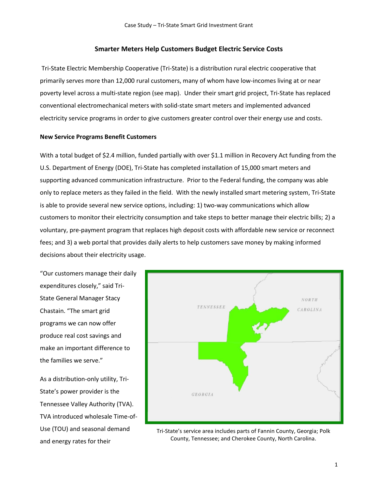### **Smarter Meters Help Customers Budget Electric Service Costs**

Tri-State Electric Membership Cooperative (Tri-State) is a distribution rural electric cooperative that primarily serves more than 12,000 rural customers, many of whom have low-incomes living at or near poverty level across a multi-state region (see map). Under their smart grid project, Tri-State has replaced conventional electromechanical meters with solid-state smart meters and implemented advanced electricity service programs in order to give customers greater control over their energy use and costs.

#### **New Service Programs Benefit Customers**

With a total budget of \$2.4 million, funded partially with over \$1.1 million in Recovery Act funding from the U.S. Department of Energy (DOE), Tri-State has completed installation of 15,000 smart meters and supporting advanced communication infrastructure. Prior to the Federal funding, the company was able only to replace meters as they failed in the field. With the newly installed smart metering system, Tri-State is able to provide several new service options, including: 1) two-way communications which allow customers to monitor their electricity consumption and take steps to better manage their electric bills; 2) a voluntary, pre-payment program that replaces high deposit costs with affordable new service or reconnect fees; and 3) a web portal that provides daily alerts to help customers save money by making informed decisions about their electricity usage.

"Our customers manage their daily expenditures closely," said Tri-State General Manager Stacy Chastain. "The smart grid programs we can now offer produce real cost savings and make an important difference to the families we serve."

As a distribution-only utility, Tri-State's power provider is the Tennessee Valley Authority (TVA). TVA introduced wholesale Time-of-Use (TOU) and seasonal demand and energy rates for their



Tri-State's service area includes parts of Fannin County, Georgia; Polk County, Tennessee; and Cherokee County, North Carolina.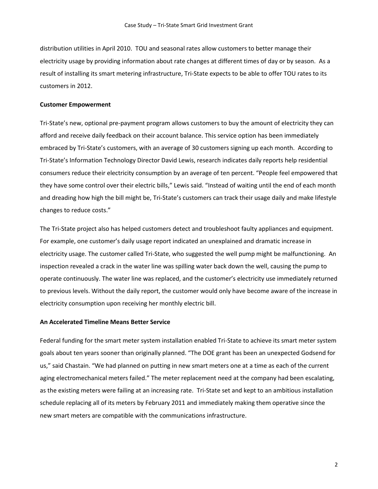distribution utilities in April 2010. TOU and seasonal rates allow customers to better manage their electricity usage by providing information about rate changes at different times of day or by season. As a result of installing its smart metering infrastructure, Tri-State expects to be able to offer TOU rates to its customers in 2012.

### **Customer Empowerment**

Tri-State's new, optional pre-payment program allows customers to buy the amount of electricity they can afford and receive daily feedback on their account balance. This service option has been immediately embraced by Tri-State's customers, with an average of 30 customers signing up each month. According to Tri-State's Information Technology Director David Lewis, research indicates daily reports help residential consumers reduce their electricity consumption by an average of ten percent. "People feel empowered that they have some control over their electric bills," Lewis said. "Instead of waiting until the end of each month and dreading how high the bill might be, Tri-State's customers can track their usage daily and make lifestyle changes to reduce costs."

The Tri-State project also has helped customers detect and troubleshoot faulty appliances and equipment. For example, one customer's daily usage report indicated an unexplained and dramatic increase in electricity usage. The customer called Tri-State, who suggested the well pump might be malfunctioning. An inspection revealed a crack in the water line was spilling water back down the well, causing the pump to operate continuously. The water line was replaced, and the customer's electricity use immediately returned to previous levels. Without the daily report, the customer would only have become aware of the increase in electricity consumption upon receiving her monthly electric bill.

### **An Accelerated Timeline Means Better Service**

Federal funding for the smart meter system installation enabled Tri-State to achieve its smart meter system goals about ten years sooner than originally planned. "The DOE grant has been an unexpected Godsend for us," said Chastain. "We had planned on putting in new smart meters one at a time as each of the current aging electromechanical meters failed." The meter replacement need at the company had been escalating, as the existing meters were failing at an increasing rate. Tri-State set and kept to an ambitious installation schedule replacing all of its meters by February 2011 and immediately making them operative since the new smart meters are compatible with the communications infrastructure.